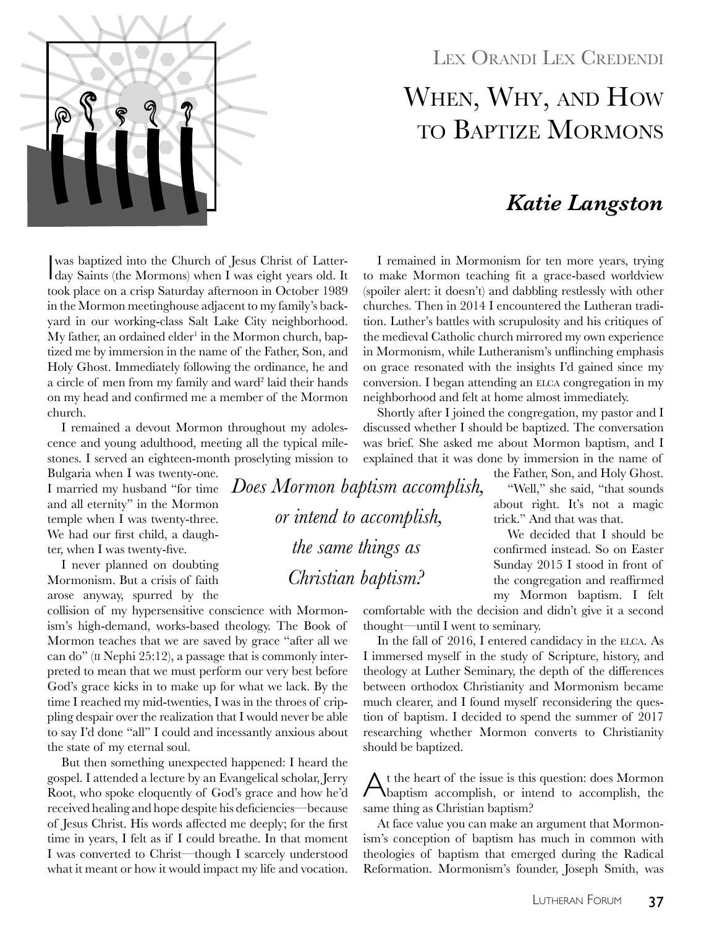

### LEX ORANDI LEX CREDENDI

# When, Why, and How to Baptize Mormons

# *Katie Langston*

I remained in Mormonism for ten more years, trying to make Mormon teaching fit a grace-based worldview (spoiler alert: it doesn't) and dabbling restlessly with other churches. Then in 2014 I encountered the Lutheran tradition. Luther's battles with scrupulosity and his critiques of the medieval Catholic church mirrored my own experience in Mormonism, while Lutheranism's unflinching emphasis on grace resonated with the insights I'd gained since my conversion. I began attending an ELCA congregation in my neighborhood and felt at home almost immediately.

Shortly after I joined the congregation, my pastor and I discussed whether I should be baptized. The conversation was brief. She asked me about Mormon baptism, and I explained that it was done by immersion in the name of

> the Father, Son, and Holy Ghost. "Well," she said, "that sounds about right. It's not a magic trick." And that was that.

> We decided that I should be confirmed instead. So on Easter Sunday 2015 I stood in front of the congregation and reaffirmed my Mormon baptism. I felt

comfortable with the decision and didn't give it a second thought—until I went to seminary.

In the fall of 2016, I entered candidacy in the ELCA. As I immersed myself in the study of Scripture, history, and theology at Luther Seminary, the depth of the differences between orthodox Christianity and Mormonism became much clearer, and I found myself reconsidering the question of baptism. I decided to spend the summer of 2017 researching whether Mormon converts to Christianity should be baptized.

 $\bigwedge$  t the heart of the issue is this question: does Mormon baptism accomplish, or intend to accomplish, the same thing as Christian baptism?

At face value you can make an argument that Mormonism's conception of baptism has much in common with theologies of baptism that emerged during the Radical Reformation. Mormonism's founder, Joseph Smith, was

was baptized into the Church of Jesus Christ of Latter-<br>day Saints (the Mormons) when I was eight years old. It was baptized into the Church of Jesus Christ of Lattertook place on a crisp Saturday afternoon in October 1989 in the Mormon meetinghouse adjacent to my family's backyard in our working-class Salt Lake City neighborhood.  $My$  father, an ordained elder $^1$  in the Mormon church, baptized me by immersion in the name of the Father, Son, and Holy Ghost. Immediately following the ordinance, he and a circle of men from my family and ward<sup>2</sup> laid their hands on my head and confirmed me a member of the Mormon church.

I remained a devout Mormon throughout my adolescence and young adulthood, meeting all the typical milestones. I served an eighteen-month proselyting mission to

Bulgaria when I was twenty-one. I married my husband "for time and all eternity" in the Mormon temple when I was twenty-three. We had our first child, a daughter, when I was twenty-five.

I never planned on doubting Mormonism. But a crisis of faith arose anyway, spurred by the

collision of my hypersensitive conscience with Mormonism's high-demand, works-based theology. The Book of Mormon teaches that we are saved by grace "after all we can do" (ii Nephi 25:12), a passage that is commonly interpreted to mean that we must perform our very best before God's grace kicks in to make up for what we lack. By the time I reached my mid-twenties, I was in the throes of crippling despair over the realization that I would never be able to say I'd done "all" I could and incessantly anxious about the state of my eternal soul.

But then something unexpected happened: I heard the gospel. I attended a lecture by an Evangelical scholar, Jerry Root, who spoke eloquently of God's grace and how he'd received healing and hope despite his deficiencies—because of Jesus Christ. His words affected me deeply; for the first time in years, I felt as if I could breathe. In that moment I was converted to Christ—though I scarcely understood what it meant or how it would impact my life and vocation.

Lutheran Forum 37

*Does Mormon baptism accomplish, or intend to accomplish, the same things as Christian baptism?*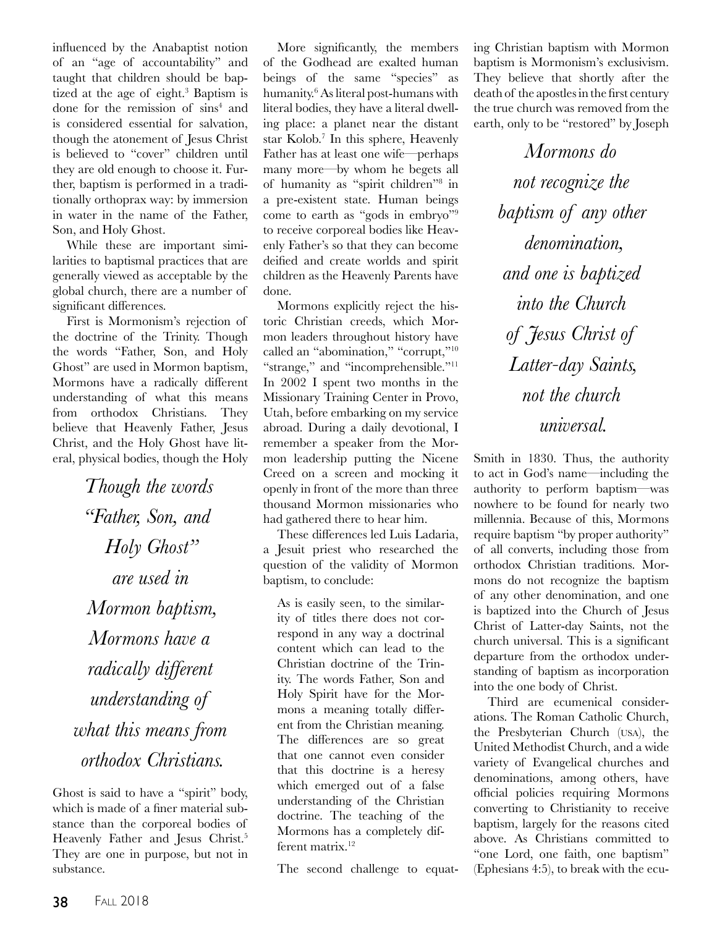influenced by the Anabaptist notion of an "age of accountability" and taught that children should be baptized at the age of eight.<sup>3</sup> Baptism is done for the remission of sins<sup>4</sup> and is considered essential for salvation, though the atonement of Jesus Christ is believed to "cover" children until they are old enough to choose it. Further, baptism is performed in a traditionally orthoprax way: by immersion in water in the name of the Father, Son, and Holy Ghost.

While these are important similarities to baptismal practices that are generally viewed as acceptable by the global church, there are a number of significant differences.

First is Mormonism's rejection of the doctrine of the Trinity. Though the words "Father, Son, and Holy Ghost" are used in Mormon baptism, Mormons have a radically different understanding of what this means from orthodox Christians. They believe that Heavenly Father, Jesus Christ, and the Holy Ghost have literal, physical bodies, though the Holy

*Though the words "Father, Son, and Holy Ghost" are used in Mormon baptism, Mormons have a radically different understanding of what this means from orthodox Christians.*

Ghost is said to have a "spirit" body, which is made of a finer material substance than the corporeal bodies of Heavenly Father and Jesus Christ.<sup>5</sup> They are one in purpose, but not in substance.

More significantly, the members of the Godhead are exalted human beings of the same "species" as humanity.6 As literal post-humans with literal bodies, they have a literal dwelling place: a planet near the distant star Kolob.7 In this sphere, Heavenly Father has at least one wife—perhaps many more—by whom he begets all of humanity as "spirit children"8 in a pre-existent state. Human beings come to earth as "gods in embryo"9 to receive corporeal bodies like Heavenly Father's so that they can become deified and create worlds and spirit children as the Heavenly Parents have done.

Mormons explicitly reject the historic Christian creeds, which Mormon leaders throughout history have called an "abomination," "corrupt,"10 "strange," and "incomprehensible."<sup>11</sup> In 2002 I spent two months in the Missionary Training Center in Provo, Utah, before embarking on my service abroad. During a daily devotional, I remember a speaker from the Mormon leadership putting the Nicene Creed on a screen and mocking it openly in front of the more than three thousand Mormon missionaries who had gathered there to hear him.

These differences led Luis Ladaria, a Jesuit priest who researched the question of the validity of Mormon baptism, to conclude:

As is easily seen, to the similarity of titles there does not correspond in any way a doctrinal content which can lead to the Christian doctrine of the Trinity. The words Father, Son and Holy Spirit have for the Mormons a meaning totally different from the Christian meaning. The differences are so great that one cannot even consider that this doctrine is a heresy which emerged out of a false understanding of the Christian doctrine. The teaching of the Mormons has a completely different matrix.<sup>12</sup>

The second challenge to equat-

ing Christian baptism with Mormon baptism is Mormonism's exclusivism. They believe that shortly after the death of the apostles in the first century the true church was removed from the earth, only to be "restored" by Joseph

> *Mormons do not recognize the baptism of any other denomination, and one is baptized into the Church of Jesus Christ of Latter-day Saints, not the church universal.*

Smith in 1830. Thus, the authority to act in God's name—including the authority to perform baptism—was nowhere to be found for nearly two millennia. Because of this, Mormons require baptism "by proper authority" of all converts, including those from orthodox Christian traditions. Mormons do not recognize the baptism of any other denomination, and one is baptized into the Church of Jesus Christ of Latter-day Saints, not the church universal. This is a significant departure from the orthodox understanding of baptism as incorporation into the one body of Christ.

Third are ecumenical considerations. The Roman Catholic Church, the Presbyterian Church (usa), the United Methodist Church, and a wide variety of Evangelical churches and denominations, among others, have official policies requiring Mormons converting to Christianity to receive baptism, largely for the reasons cited above. As Christians committed to "one Lord, one faith, one baptism" (Ephesians 4:5), to break with the ecu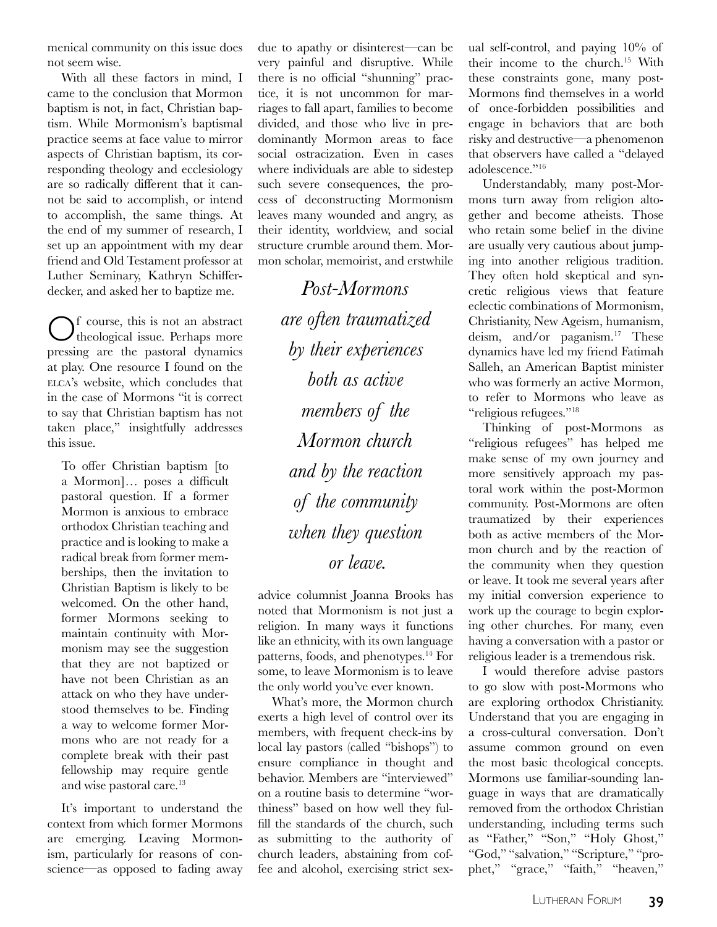menical community on this issue does not seem wise.

With all these factors in mind, I came to the conclusion that Mormon baptism is not, in fact, Christian baptism. While Mormonism's baptismal practice seems at face value to mirror aspects of Christian baptism, its corresponding theology and ecclesiology are so radically different that it cannot be said to accomplish, or intend to accomplish, the same things. At the end of my summer of research, I set up an appointment with my dear friend and Old Testament professor at Luther Seminary, Kathryn Schifferdecker, and asked her to baptize me.

Of course, this is not an abstract theological issue. Perhaps more pressing are the pastoral dynamics at play. One resource I found on the elca's website, which concludes that in the case of Mormons "it is correct to say that Christian baptism has not taken place," insightfully addresses this issue.

To offer Christian baptism [to a Mormon]… poses a difficult pastoral question. If a former Mormon is anxious to embrace orthodox Christian teaching and practice and is looking to make a radical break from former memberships, then the invitation to Christian Baptism is likely to be welcomed. On the other hand, former Mormons seeking to maintain continuity with Mormonism may see the suggestion that they are not baptized or have not been Christian as an attack on who they have understood themselves to be. Finding a way to welcome former Mormons who are not ready for a complete break with their past fellowship may require gentle and wise pastoral care.<sup>13</sup>

It's important to understand the context from which former Mormons are emerging. Leaving Mormonism, particularly for reasons of conscience—as opposed to fading away due to apathy or disinterest—can be very painful and disruptive. While there is no official "shunning" practice, it is not uncommon for marriages to fall apart, families to become divided, and those who live in predominantly Mormon areas to face social ostracization. Even in cases where individuals are able to sidestep such severe consequences, the process of deconstructing Mormonism leaves many wounded and angry, as their identity, worldview, and social structure crumble around them. Mormon scholar, memoirist, and erstwhile

> *Post-Mormons are often traumatized by their experiences both as active members of the Mormon church and by the reaction of the community when they question or leave.*

advice columnist Joanna Brooks has noted that Mormonism is not just a religion. In many ways it functions like an ethnicity, with its own language patterns, foods, and phenotypes.<sup>14</sup> For some, to leave Mormonism is to leave the only world you've ever known.

What's more, the Mormon church exerts a high level of control over its members, with frequent check-ins by local lay pastors (called "bishops") to ensure compliance in thought and behavior. Members are "interviewed" on a routine basis to determine "worthiness" based on how well they fulfill the standards of the church, such as submitting to the authority of church leaders, abstaining from coffee and alcohol, exercising strict sexual self-control, and paying 10% of their income to the church.15 With these constraints gone, many post-Mormons find themselves in a world of once-forbidden possibilities and engage in behaviors that are both risky and destructive—a phenomenon that observers have called a "delayed adolescence."<sup>16</sup>

Understandably, many post-Mormons turn away from religion altogether and become atheists. Those who retain some belief in the divine are usually very cautious about jumping into another religious tradition. They often hold skeptical and syncretic religious views that feature eclectic combinations of Mormonism, Christianity, New Ageism, humanism, deism, and/or paganism.<sup>17</sup> These dynamics have led my friend Fatimah Salleh, an American Baptist minister who was formerly an active Mormon, to refer to Mormons who leave as "religious refugees."18

Thinking of post-Mormons as "religious refugees" has helped me make sense of my own journey and more sensitively approach my pastoral work within the post-Mormon community. Post-Mormons are often traumatized by their experiences both as active members of the Mormon church and by the reaction of the community when they question or leave. It took me several years after my initial conversion experience to work up the courage to begin exploring other churches. For many, even having a conversation with a pastor or religious leader is a tremendous risk.

I would therefore advise pastors to go slow with post-Mormons who are exploring orthodox Christianity. Understand that you are engaging in a cross-cultural conversation. Don't assume common ground on even the most basic theological concepts. Mormons use familiar-sounding language in ways that are dramatically removed from the orthodox Christian understanding, including terms such as "Father," "Son," "Holy Ghost," "God," "salvation," "Scripture," "prophet," "grace," "faith," "heaven,"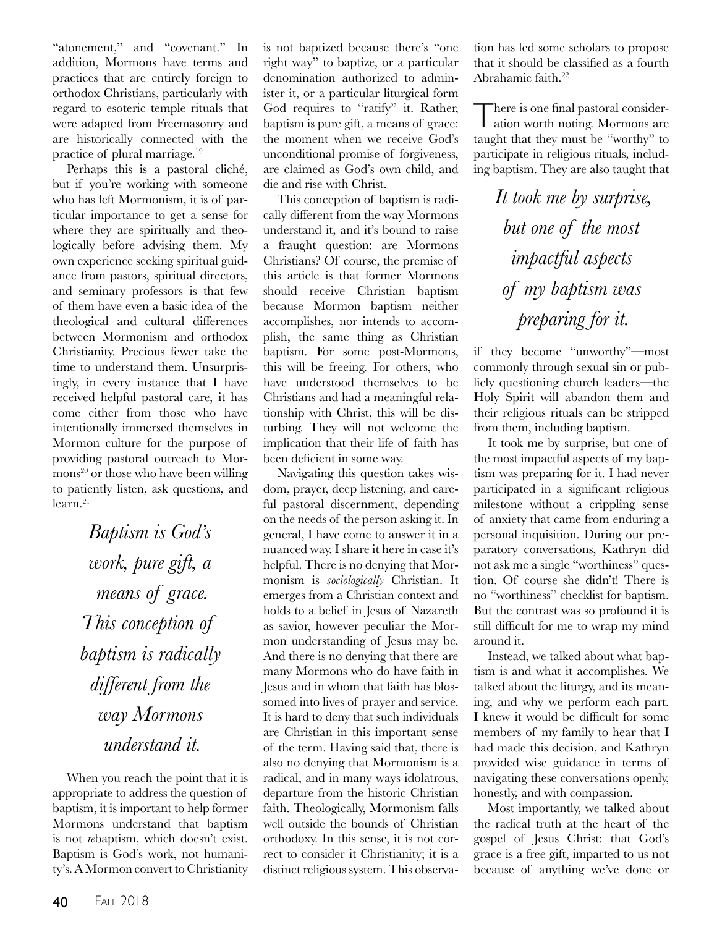"atonement," and "covenant." In addition, Mormons have terms and practices that are entirely foreign to orthodox Christians, particularly with regard to esoteric temple rituals that were adapted from Freemasonry and are historically connected with the practice of plural marriage.<sup>19</sup>

Perhaps this is a pastoral cliché, but if you're working with someone who has left Mormonism, it is of particular importance to get a sense for where they are spiritually and theologically before advising them. My own experience seeking spiritual guidance from pastors, spiritual directors, and seminary professors is that few of them have even a basic idea of the theological and cultural differences between Mormonism and orthodox Christianity. Precious fewer take the time to understand them. Unsurprisingly, in every instance that I have received helpful pastoral care, it has come either from those who have intentionally immersed themselves in Mormon culture for the purpose of providing pastoral outreach to Mormons<sup>20</sup> or those who have been willing to patiently listen, ask questions, and learn.<sup>21</sup>

> *Baptism is God's work, pure gift, a means of grace. This conception of baptism is radically different from the way Mormons understand it.*

When you reach the point that it is appropriate to address the question of baptism, it is important to help former Mormons understand that baptism is not *re*baptism, which doesn't exist. Baptism is God's work, not humanity's. A Mormon convert to Christianity is not baptized because there's "one right way" to baptize, or a particular denomination authorized to administer it, or a particular liturgical form God requires to "ratify" it. Rather, baptism is pure gift, a means of grace: the moment when we receive God's unconditional promise of forgiveness, are claimed as God's own child, and die and rise with Christ.

This conception of baptism is radically different from the way Mormons understand it, and it's bound to raise a fraught question: are Mormons Christians? Of course, the premise of this article is that former Mormons should receive Christian baptism because Mormon baptism neither accomplishes, nor intends to accomplish, the same thing as Christian baptism. For some post-Mormons, this will be freeing. For others, who have understood themselves to be Christians and had a meaningful relationship with Christ, this will be disturbing. They will not welcome the implication that their life of faith has been deficient in some way.

Navigating this question takes wisdom, prayer, deep listening, and careful pastoral discernment, depending on the needs of the person asking it. In general, I have come to answer it in a nuanced way. I share it here in case it's helpful. There is no denying that Mormonism is *sociologically* Christian. It emerges from a Christian context and holds to a belief in Jesus of Nazareth as savior, however peculiar the Mormon understanding of Jesus may be. And there is no denying that there are many Mormons who do have faith in Jesus and in whom that faith has blossomed into lives of prayer and service. It is hard to deny that such individuals are Christian in this important sense of the term. Having said that, there is also no denying that Mormonism is a radical, and in many ways idolatrous, departure from the historic Christian faith. Theologically, Mormonism falls well outside the bounds of Christian orthodoxy. In this sense, it is not correct to consider it Christianity; it is a distinct religious system. This observation has led some scholars to propose that it should be classified as a fourth Abrahamic faith.<sup>22</sup>

There is one final pastoral consideration worth noting. Mormons are taught that they must be "worthy" to participate in religious rituals, including baptism. They are also taught that

> *It took me by surprise, but one of the most impactful aspects of my baptism was preparing for it.*

if they become "unworthy"—most commonly through sexual sin or publicly questioning church leaders—the Holy Spirit will abandon them and their religious rituals can be stripped from them, including baptism.

It took me by surprise, but one of the most impactful aspects of my baptism was preparing for it. I had never participated in a significant religious milestone without a crippling sense of anxiety that came from enduring a personal inquisition. During our preparatory conversations, Kathryn did not ask me a single "worthiness" question. Of course she didn't! There is no "worthiness" checklist for baptism. But the contrast was so profound it is still difficult for me to wrap my mind around it.

Instead, we talked about what baptism is and what it accomplishes. We talked about the liturgy, and its meaning, and why we perform each part. I knew it would be difficult for some members of my family to hear that I had made this decision, and Kathryn provided wise guidance in terms of navigating these conversations openly, honestly, and with compassion.

Most importantly, we talked about the radical truth at the heart of the gospel of Jesus Christ: that God's grace is a free gift, imparted to us not because of anything we've done or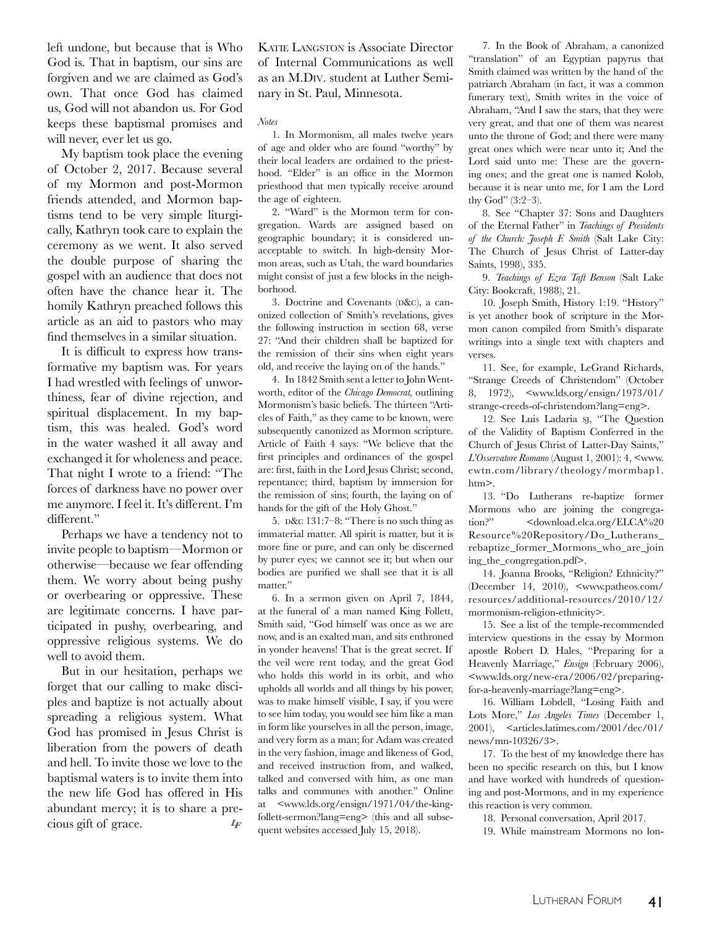left undone, but because that is Who God is. That in baptism, our sins are forgiven and we are claimed as God's own. That once God has claimed us, God will not abandon us. For God keeps these baptismal promises and will never, ever let us go.

My baptism took place the evening of October 2, 2017. Because several of my Mormon and post-Mormon friends attended, and Mormon baptisms tend to be very simple liturgically, Kathryn took care to explain the ceremony as we went. It also served the double purpose of sharing the gospel with an audience that does not often have the chance hear it. The homily Kathryn preached follows this article as an aid to pastors who may find themselves in a similar situation.

It is difficult to express how transformative my baptism was. For years I had wrestled with feelings of unworthiness, fear of divine rejection, and spiritual displacement. In my baptism, this was healed. God's word in the water washed it all away and exchanged it for wholeness and peace. That night I wrote to a friend: "The forces of darkness have no power over me anymore. I feel it. It's different. I'm different."

Perhaps we have a tendency not to invite people to baptism—Mormon or otherwise—because we fear offending them. We worry about being pushy or overbearing or oppressive. These are legitimate concerns. I have participated in pushy, overbearing, and oppressive religious systems. We do well to avoid them.

But in our hesitation, perhaps we forget that our calling to make disciples and baptize is not actually about spreading a religious system. What God has promised in Jesus Christ is liberation from the powers of death and hell. To invite those we love to the baptismal waters is to invite them into the new life God has offered in His abundant mercy; it is to share a precious gift of grace. *LF*

Katie Langston is Associate Director of Internal Communications as well as an M.Div. student at Luther Seminary in St. Paul, Minnesota.

#### *Notes*

1. In Mormonism, all males twelve years of age and older who are found "worthy" by their local leaders are ordained to the priesthood. "Elder" is an office in the Mormon priesthood that men typically receive around the age of eighteen.

2. "Ward" is the Mormon term for congregation. Wards are assigned based on geographic boundary; it is considered unacceptable to switch. In high-density Mormon areas, such as Utah, the ward boundaries might consist of just a few blocks in the neighborhood.

3. Doctrine and Covenants (D&C), a canonized collection of Smith's revelations, gives the following instruction in section 68, verse 27: "And their children shall be baptized for the remission of their sins when eight years old, and receive the laying on of the hands."

4. In 1842 Smith sent a letter to John Wentworth, editor of the *Chicago Democrat,* outlining Mormonism's basic beliefs. The thirteen "Articles of Faith," as they came to be known, were subsequently canonized as Mormon scripture. Article of Faith 4 says: "We believe that the first principles and ordinances of the gospel are: first, faith in the Lord Jesus Christ; second, repentance; third, baptism by immersion for the remission of sins; fourth, the laying on of hands for the gift of the Holy Ghost."

5.  $D&c 131:7-8:$  "There is no such thing as immaterial matter. All spirit is matter, but it is more fine or pure, and can only be discerned by purer eyes; we cannot see it; but when our bodies are purified we shall see that it is all matter."

6. In a sermon given on April 7, 1844, at the funeral of a man named King Follett, Smith said, "God himself was once as we are now, and is an exalted man, and sits enthroned in yonder heavens! That is the great secret. If the veil were rent today, and the great God who holds this world in its orbit, and who upholds all worlds and all things by his power, was to make himself visible, I say, if you were to see him today, you would see him like a man in form like yourselves in all the person, image, and very form as a man; for Adam was created in the very fashion, image and likeness of God, and received instruction from, and walked, talked and conversed with him, as one man talks and communes with another." Online at <www.lds.org/ensign/1971/04/the-kingfollett-sermon?lang=eng> (this and all subsequent websites accessed July 15, 2018).

7. In the Book of Abraham, a canonized "translation" of an Egyptian papyrus that Smith claimed was written by the hand of the patriarch Abraham (in fact, it was a common funerary text), Smith writes in the voice of Abraham, "And I saw the stars, that they were very great, and that one of them was nearest unto the throne of God; and there were many great ones which were near unto it; And the Lord said unto me: These are the governing ones; and the great one is named Kolob, because it is near unto me, for I am the Lord thy God" (3:2–3).

8. See "Chapter 37: Sons and Daughters of the Eternal Father" in *Teachings of Presidents of the Church: Joseph F. Smith* (Salt Lake City: The Church of Jesus Christ of Latter-day Saints, 1998), 335.

9. *Teachings of Ezra Taft Benson* (Salt Lake City: Bookcraft, 1988), 21.

10. Joseph Smith, History 1:19. "History" is yet another book of scripture in the Mormon canon compiled from Smith's disparate writings into a single text with chapters and verses.

11. See, for example, LeGrand Richards, "Strange Creeds of Christendom" (October 8, 1972), <www.lds.org/ensign/1973/01/ strange-creeds-of-christendom?lang=eng>.

12. See Luis Ladaria sj, "The Question of the Validity of Baptism Conferred in the Church of Jesus Christ of Latter-Day Saints," *L'Osservatore Romano* (August 1, 2001): 4, <www. ewtn.com/library/theology/mormbap1. htm>.

13. "Do Lutherans re-baptize former Mormons who are joining the congregation?" <download.elca.org/ELCA%20 Resource%20Repository/Do\_Lutherans\_ rebaptize\_former\_Mormons\_who\_are\_join ing\_the\_congregation.pdf>.

14. Joanna Brooks, "Religion? Ethnicity?" (December 14, 2010), <www.patheos.com/ resources/additional-resources/2010/12/ mormonism-religion-ethnicity>.

15. See a list of the temple-recommended interview questions in the essay by Mormon apostle Robert D. Hales, "Preparing for a Heavenly Marriage," *Ensign* (February 2006), <www.lds.org/new-era/2006/02/preparingfor-a-heavenly-marriage?lang=eng>.

16. William Lobdell, "Losing Faith and Lots More," *Los Angeles Times* (December 1, 2001), <articles.latimes.com/2001/dec/01/ news/mn-10326/3>.

17. To the best of my knowledge there has been no specific research on this, but I know and have worked with hundreds of questioning and post-Mormons, and in my experience this reaction is very common.

18. Personal conversation, April 2017.

19. While mainstream Mormons no lon-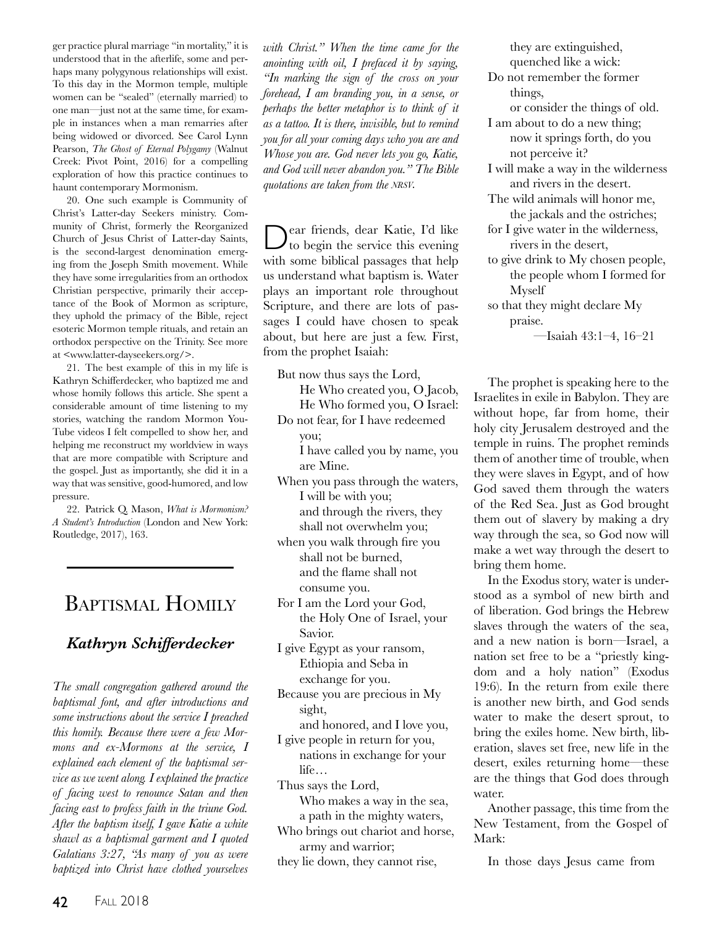ger practice plural marriage "in mortality," it is understood that in the afterlife, some and perhaps many polygynous relationships will exist. To this day in the Mormon temple, multiple women can be "sealed" (eternally married) to one man—just not at the same time, for example in instances when a man remarries after being widowed or divorced. See Carol Lynn Pearson, *The Ghost of Eternal Polygamy* (Walnut Creek: Pivot Point, 2016) for a compelling exploration of how this practice continues to haunt contemporary Mormonism.

20. One such example is Community of Christ's Latter-day Seekers ministry. Community of Christ, formerly the Reorganized Church of Jesus Christ of Latter-day Saints, is the second-largest denomination emerging from the Joseph Smith movement. While they have some irregularities from an orthodox Christian perspective, primarily their acceptance of the Book of Mormon as scripture, they uphold the primacy of the Bible, reject esoteric Mormon temple rituals, and retain an orthodox perspective on the Trinity. See more at <www.latter-dayseekers.org/>.

21. The best example of this in my life is Kathryn Schifferdecker, who baptized me and whose homily follows this article. She spent a considerable amount of time listening to my stories, watching the random Mormon You-Tube videos I felt compelled to show her, and helping me reconstruct my worldview in ways that are more compatible with Scripture and the gospel. Just as importantly, she did it in a way that was sensitive, good-humored, and low pressure.

22. Patrick Q. Mason, *What is Mormonism? A Student's Introduction* (London and New York: Routledge, 2017), 163.

## Baptismal Homily

### *Kathryn Schifferdecker*

*The small congregation gathered around the baptismal font, and after introductions and some instructions about the service I preached this homily. Because there were a few Mormons and ex-Mormons at the service, I explained each element of the baptismal service as we went along. I explained the practice of facing west to renounce Satan and then facing east to profess faith in the triune God. After the baptism itself, I gave Katie a white shawl as a baptismal garment and I quoted Galatians 3:27, "As many of you as were baptized into Christ have clothed yourselves* 

*with Christ." When the time came for the anointing with oil, I prefaced it by saying, "In marking the sign of the cross on your forehead, I am branding you, in a sense, or perhaps the better metaphor is to think of it as a tattoo. It is there, invisible, but to remind you for all your coming days who you are and Whose you are. God never lets you go, Katie, and God will never abandon you." The Bible quotations are taken from the nrsv.*

Dear friends, dear Katie, I'd like to begin the service this evening with some biblical passages that help us understand what baptism is. Water plays an important role throughout Scripture, and there are lots of passages I could have chosen to speak about, but here are just a few. First, from the prophet Isaiah:

But now thus says the Lord, He Who created you, O Jacob, He Who formed you, O Israel:

Do not fear, for I have redeemed you;

I have called you by name, you are Mine.

- When you pass through the waters, I will be with you; and through the rivers, they shall not overwhelm you;
- when you walk through fire you shall not be burned, and the flame shall not consume you.
- For I am the Lord your God, the Holy One of Israel, your Savior.
- I give Egypt as your ransom, Ethiopia and Seba in exchange for you.
- Because you are precious in My sight,

and honored, and I love you, I give people in return for you,

nations in exchange for your life…

Thus says the Lord,

Who makes a way in the sea, a path in the mighty waters,

Who brings out chariot and horse, army and warrior;

they lie down, they cannot rise,

they are extinguished, quenched like a wick: Do not remember the former things, or consider the things of old. I am about to do a new thing; now it springs forth, do you not perceive it? I will make a way in the wilderness and rivers in the desert. The wild animals will honor me, the jackals and the ostriches; for I give water in the wilderness, rivers in the desert, to give drink to My chosen people, the people whom I formed for Myself so that they might declare My

praise.

—Isaiah 43:1–4, 16–21

The prophet is speaking here to the Israelites in exile in Babylon. They are without hope, far from home, their holy city Jerusalem destroyed and the temple in ruins. The prophet reminds them of another time of trouble, when they were slaves in Egypt, and of how God saved them through the waters of the Red Sea. Just as God brought them out of slavery by making a dry way through the sea, so God now will make a wet way through the desert to bring them home.

In the Exodus story, water is understood as a symbol of new birth and of liberation. God brings the Hebrew slaves through the waters of the sea, and a new nation is born—Israel, a nation set free to be a "priestly kingdom and a holy nation" (Exodus 19:6). In the return from exile there is another new birth, and God sends water to make the desert sprout, to bring the exiles home. New birth, liberation, slaves set free, new life in the desert, exiles returning home—these are the things that God does through water.

Another passage, this time from the New Testament, from the Gospel of Mark:

In those days Jesus came from